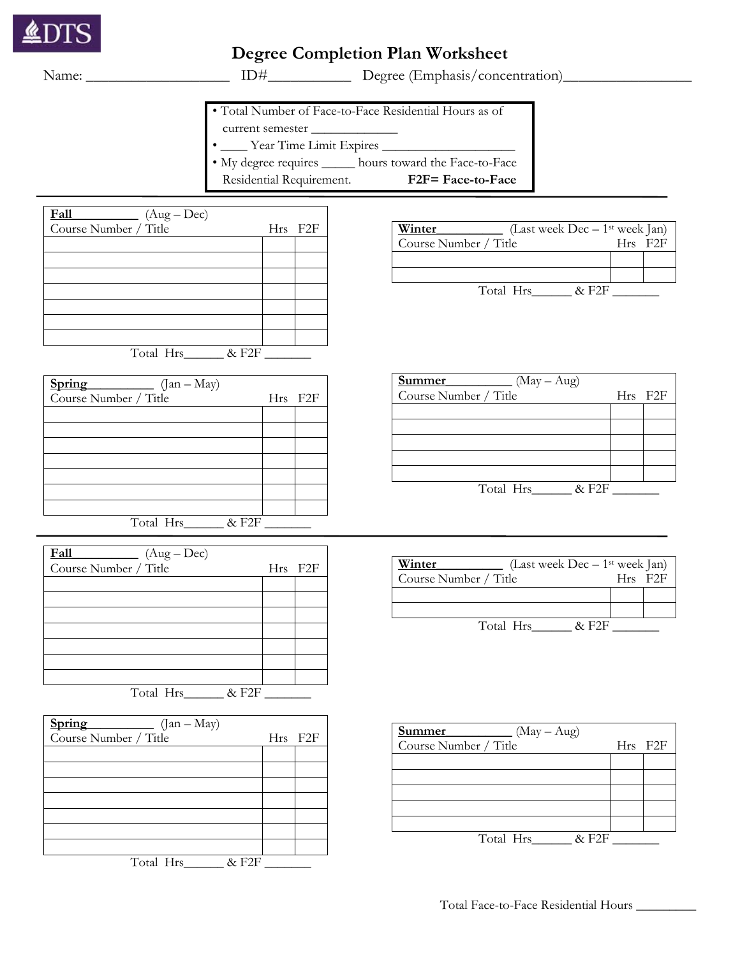## **Degree Completion Plan Worksheet**

Name: \_\_\_\_\_\_\_\_\_\_\_\_\_\_\_\_\_\_\_ ID#\_\_\_\_\_\_\_\_\_\_\_ Degree (Emphasis/concentration)\_\_\_\_\_\_\_\_\_\_\_\_\_\_\_\_\_

## • Total Number of Face-to-Face Residential Hours as of

- current semester \_\_\_\_\_\_\_\_\_\_\_\_\_
- \_\_\_\_ Year Time Limit Expires \_\_\_\_\_\_\_\_\_\_\_\_\_\_\_\_\_\_\_\_
- My degree requires \_\_\_\_\_ hours toward the Face-to-Face
- Residential Requirement. **F2F= Face-to-Face**

| <b>Fall</b><br>$(Aug - Dec)$        |         |
|-------------------------------------|---------|
| Course Number / Title               | Hrs F2F |
|                                     |         |
|                                     |         |
|                                     |         |
|                                     |         |
|                                     |         |
|                                     |         |
|                                     |         |
| $-1$<br>$\sim$ $\sim$ $\sim$ $\sim$ |         |

Total Hrs\_\_\_\_\_\_ & F2F \_\_\_\_

| Spring<br>$\frac{1}{\text{tan}-\text{May}}$ |         |
|---------------------------------------------|---------|
| Course Number / Title                       | Hrs F2F |
|                                             |         |
|                                             |         |
|                                             |         |
|                                             |         |
|                                             |         |
|                                             |         |
|                                             |         |
| Total Hrs<br>& F2F                          |         |

| Fall<br>$(Aug - Dec)$<br>Course Number / Title | Hrs F2F |
|------------------------------------------------|---------|
|                                                |         |
|                                                |         |
|                                                |         |
|                                                |         |
|                                                |         |
|                                                |         |
|                                                |         |
| Total Hrs_<br>$&$ F2F                          |         |

| Spring<br>$\frac{1}{\text{tan}-\text{May}}$ |         |
|---------------------------------------------|---------|
| Course Number / Title                       | Hrs F2F |
|                                             |         |
|                                             |         |
|                                             |         |
|                                             |         |
|                                             |         |
|                                             |         |
|                                             |         |
| Total Hrs<br>$&$ F2F                        |         |

| Winter<br>(Last week $Dec - 1$ <sup>st</sup> week Jan) |                        |  |
|--------------------------------------------------------|------------------------|--|
| Course Number / Title                                  | $Hrs$ F <sub>2</sub> F |  |
|                                                        |                        |  |
|                                                        |                        |  |
| Total Hrs<br>& F2F                                     |                        |  |

| Summer<br>$(May - Aug)$ |         |
|-------------------------|---------|
| Course Number / Title   | Hrs F2F |
|                         |         |
|                         |         |
|                         |         |
|                         |         |
|                         |         |
| Total Hrs<br>$\&$ F2F   |         |

| (Last week $Dec - 1$ <sup>st</sup> week Jan)<br>Winter |          |                        |  |
|--------------------------------------------------------|----------|------------------------|--|
| Course Number / Title                                  |          | $Hrs$ F <sub>2</sub> F |  |
|                                                        |          |                        |  |
|                                                        |          |                        |  |
| Total Hrs                                              | $\&$ F2F |                        |  |

| Summer<br>$(May - Aug)$ |         |
|-------------------------|---------|
| Course Number / Title   | Hrs F2F |
|                         |         |
|                         |         |
|                         |         |
|                         |         |
|                         |         |
| Total Hrs<br>$&$ F2F    |         |